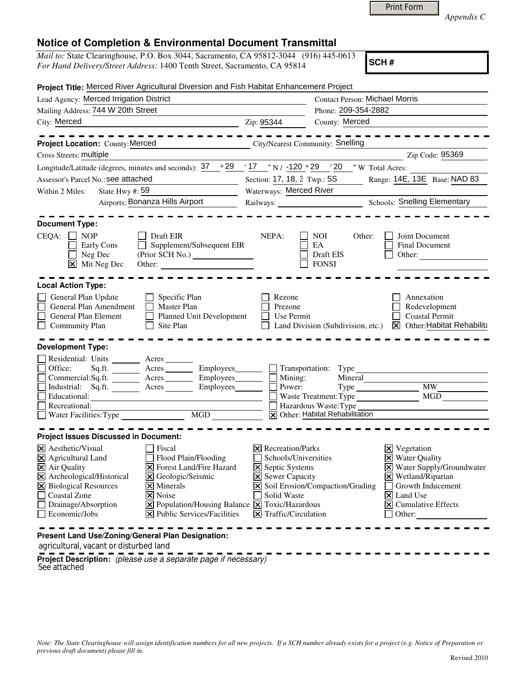*Appendix C* 

## **Notice of Completion & Environmental Document Transmittal**

| <i>Mail to:</i> State Clearinghouse, P.O. Box 3044, Sacramento, CA 95812-3044 (916) 445-0613 |
|----------------------------------------------------------------------------------------------|
| <i>For Hand Delivery/Street Address:</i> 1400 Tenth Street, Sacramento, CA 95814             |

**SCH #**

| Project Title: Merced River Agricultural Diversion and Fish Habitat Enhancement Project                                                                                                                                                                                                                                                                                                                                                                                                         |                                                                              |                                                             |                                                                                                                      |                                                                                                    |  |
|-------------------------------------------------------------------------------------------------------------------------------------------------------------------------------------------------------------------------------------------------------------------------------------------------------------------------------------------------------------------------------------------------------------------------------------------------------------------------------------------------|------------------------------------------------------------------------------|-------------------------------------------------------------|----------------------------------------------------------------------------------------------------------------------|----------------------------------------------------------------------------------------------------|--|
| Lead Agency: Merced Irrigation District                                                                                                                                                                                                                                                                                                                                                                                                                                                         |                                                                              |                                                             | <b>Contact Person: Michael Morris</b>                                                                                |                                                                                                    |  |
| Mailing Address: 744 W 20th Street                                                                                                                                                                                                                                                                                                                                                                                                                                                              |                                                                              | Phone: 209-354-2882                                         |                                                                                                                      |                                                                                                    |  |
| City: Merced<br>$\overline{\phantom{z}}$ $\overline{\phantom{z}}$ $\overline{\phantom{z}}$ $\overline{\phantom{z}}$ $\overline{\phantom{z}}$ $\overline{\phantom{z}}$ $\overline{\phantom{z}}$ $\overline{\phantom{z}}$ $\overline{\phantom{z}}$ $\overline{\phantom{z}}$ $\overline{\phantom{z}}$ $\overline{\phantom{z}}$ $\overline{\phantom{z}}$ $\overline{\phantom{z}}$ $\overline{\phantom{z}}$ $\overline{\phantom{z}}$ $\overline{\phantom{z}}$ $\overline{\phantom{z}}$ $\overline{\$ |                                                                              | County: Merced                                              |                                                                                                                      |                                                                                                    |  |
| Project Location: County: Merced                                                                                                                                                                                                                                                                                                                                                                                                                                                                | City/Nearest Community: Snelling                                             |                                                             |                                                                                                                      | -----------                                                                                        |  |
| Cross Streets: multiple                                                                                                                                                                                                                                                                                                                                                                                                                                                                         |                                                                              |                                                             |                                                                                                                      | Zip Code: 95369                                                                                    |  |
| Longitude/Latitude (degrees, minutes and seconds): $37 \degree$ 29 $\degree$ 17 $\degree$ N / -120 $\degree$ 29 $\degree$ 20 $\degree$ W Total Acres:                                                                                                                                                                                                                                                                                                                                           |                                                                              |                                                             |                                                                                                                      |                                                                                                    |  |
| Assessor's Parcel No.: see attached                                                                                                                                                                                                                                                                                                                                                                                                                                                             |                                                                              | Range: 14E, 13E Base: NAD 83<br>Section: 17, 18, 3 Twp.: 5S |                                                                                                                      |                                                                                                    |  |
| State Hwy #: 59<br>Within 2 Miles:                                                                                                                                                                                                                                                                                                                                                                                                                                                              |                                                                              | Waterways: Merced River                                     |                                                                                                                      |                                                                                                    |  |
| Airports: Bonanza Hills Airport                                                                                                                                                                                                                                                                                                                                                                                                                                                                 |                                                                              |                                                             |                                                                                                                      | <b>Schools: Snelling Elementary</b>                                                                |  |
|                                                                                                                                                                                                                                                                                                                                                                                                                                                                                                 |                                                                              |                                                             |                                                                                                                      |                                                                                                    |  |
| <b>Document Type:</b><br>CEQA:<br><b>NOP</b><br>Early Cons<br>Neg Dec<br>⊠<br>Mit Neg Dec                                                                                                                                                                                                                                                                                                                                                                                                       | <b>Draft EIR</b><br>Supplement/Subsequent EIR                                | NEPA:                                                       | NOI<br>Other:<br>EA<br>Draft EIS<br><b>FONSI</b>                                                                     | Joint Document<br><b>Final Document</b><br>Other:                                                  |  |
| <b>Local Action Type:</b><br>General Plan Update<br>General Plan Amendment<br>General Plan Element<br><b>Community Plan</b>                                                                                                                                                                                                                                                                                                                                                                     | Specific Plan<br><b>Master Plan</b><br>Planned Unit Development<br>Site Plan | Rezone<br>Prezone<br>Use Permit                             | Land Division (Subdivision, etc.)                                                                                    | Annexation<br>Redevelopment<br><b>Coastal Permit</b><br>$\triangleright$ Other: Habitat Rehabilita |  |
| <b>Development Type:</b>                                                                                                                                                                                                                                                                                                                                                                                                                                                                        |                                                                              |                                                             |                                                                                                                      |                                                                                                    |  |
| Residential: Units _______ Acres _______<br>Office:<br>Sq.fit.<br>Commercial:Sq.ft. ________ Acres ________ Employees___<br>Industrial: Sq.ft. Acres<br>Educational:<br>Recreational:                                                                                                                                                                                                                                                                                                           | Acres __________ Employees____<br>Employees_                                 | Mining:<br>Power:                                           | Transportation: Type<br>Mineral<br>Waste Treatment: Type<br>Hazardous Waste: Type<br>X Other: Habitat Rehabilitation | <b>MW</b><br>MGD                                                                                   |  |
| <b>Project Issues Discussed in Document:</b>                                                                                                                                                                                                                                                                                                                                                                                                                                                    |                                                                              |                                                             |                                                                                                                      |                                                                                                    |  |
| $\times$ Aesthetic/Visual                                                                                                                                                                                                                                                                                                                                                                                                                                                                       | Fiscal                                                                       | $\triangleright$ Recreation/Parks                           | Schools/Universities                                                                                                 | $\mathbf{\Sigma}$ Vegetation<br><b>X</b> Water Quality                                             |  |

agricultural, vacant or disturbed land

**Project Description:** (please use a separate page if necessary) See attached